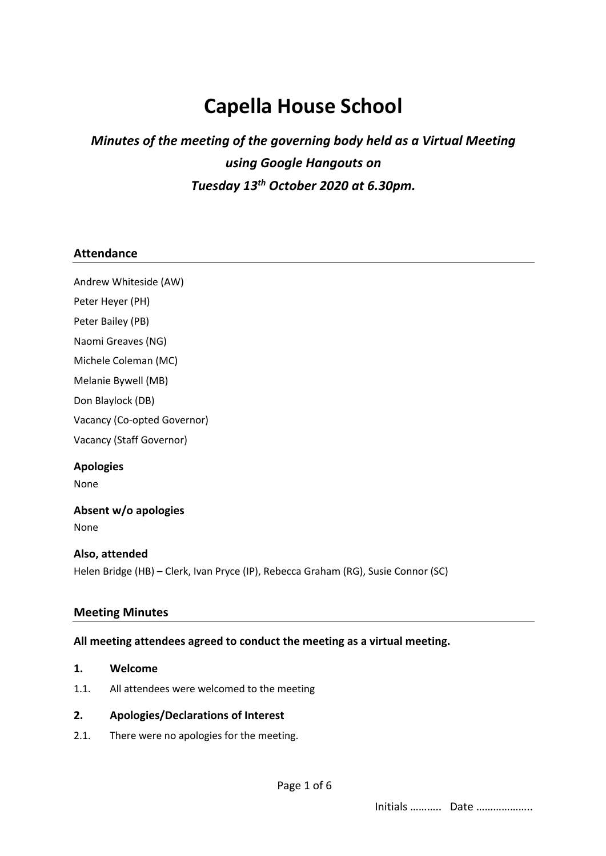# **Capella House School**

# *Minutes of the meeting of the governing body held as a Virtual Meeting using Google Hangouts on Tuesday 13th October 2020 at 6.30pm.*

#### **Attendance**

Andrew Whiteside (AW) Peter Heyer (PH) Peter Bailey (PB) Naomi Greaves (NG) Michele Coleman (MC) Melanie Bywell (MB) Don Blaylock (DB) Vacancy (Co-opted Governor)

Vacancy (Staff Governor)

# **Apologies**

None

### **Absent w/o apologies**

None

#### **Also, attended**

Helen Bridge (HB) – Clerk, Ivan Pryce (IP), Rebecca Graham (RG), Susie Connor (SC)

#### **Meeting Minutes**

#### **All meeting attendees agreed to conduct the meeting as a virtual meeting.**

- **1. Welcome**
- 1.1. All attendees were welcomed to the meeting

#### **2. Apologies/Declarations of Interest**

2.1. There were no apologies for the meeting.

Initials ……….. Date ………………..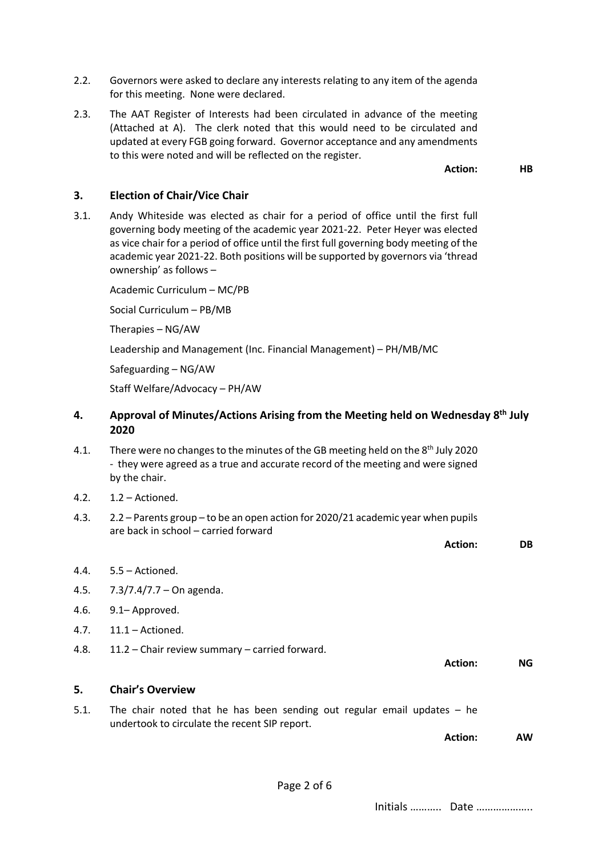- 2.2. Governors were asked to declare any interests relating to any item of the agenda for this meeting. None were declared.
- 2.3. The AAT Register of Interests had been circulated in advance of the meeting (Attached at A). The clerk noted that this would need to be circulated and updated at every FGB going forward. Governor acceptance and any amendments to this were noted and will be reflected on the register.

**Action: HB**

#### **3. Election of Chair/Vice Chair**

3.1. Andy Whiteside was elected as chair for a period of office until the first full governing body meeting of the academic year 2021-22. Peter Heyer was elected as vice chair for a period of office until the first full governing body meeting of the academic year 2021-22. Both positions will be supported by governors via 'thread ownership' as follows –

Academic Curriculum – MC/PB

Social Curriculum – PB/MB

Therapies – NG/AW

Leadership and Management (Inc. Financial Management) – PH/MB/MC

Safeguarding – NG/AW

Staff Welfare/Advocacy – PH/AW

- **4. Approval of Minutes/Actions Arising from the Meeting held on Wednesday 8th July 2020**
- 4.1. There were no changes to the minutes of the GB meeting held on the 8<sup>th</sup> July 2020 - they were agreed as a true and accurate record of the meeting and were signed by the chair.
- 4.2. 1.2 Actioned.
- 4.3. 2.2 Parents group to be an open action for 2020/21 academic year when pupils are back in school – carried forward

**Action: DB**

- 4.4. 5.5 Actioned. 4.5. 7.3/7.4/7.7 – On agenda.
- 4.6. 9.1– Approved.
- 4.7. 11.1 Actioned.
- 4.8. 11.2 Chair review summary carried forward.

**Action: NG**

- **5. Chair's Overview**
- 5.1. The chair noted that he has been sending out regular email updates he undertook to circulate the recent SIP report.

**Action: AW**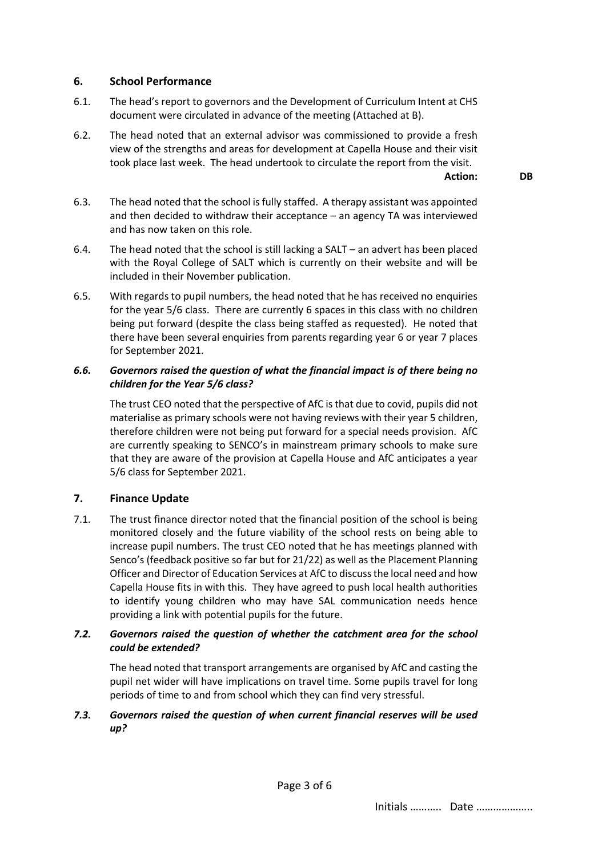# **6. School Performance**

- 6.1. The head's report to governors and the Development of Curriculum Intent at CHS document were circulated in advance of the meeting (Attached at B).
- 6.2. The head noted that an external advisor was commissioned to provide a fresh view of the strengths and areas for development at Capella House and their visit took place last week. The head undertook to circulate the report from the visit.

**Action: DB**

- 6.3. The head noted that the school is fully staffed. A therapy assistant was appointed and then decided to withdraw their acceptance – an agency TA was interviewed and has now taken on this role.
- 6.4. The head noted that the school is still lacking a SALT an advert has been placed with the Royal College of SALT which is currently on their website and will be included in their November publication.
- 6.5. With regards to pupil numbers, the head noted that he has received no enquiries for the year 5/6 class. There are currently 6 spaces in this class with no children being put forward (despite the class being staffed as requested). He noted that there have been several enquiries from parents regarding year 6 or year 7 places for September 2021.

#### *6.6. Governors raised the question of what the financial impact is of there being no children for the Year 5/6 class?*

The trust CEO noted that the perspective of AfC is that due to covid, pupils did not materialise as primary schools were not having reviews with their year 5 children, therefore children were not being put forward for a special needs provision. AfC are currently speaking to SENCO's in mainstream primary schools to make sure that they are aware of the provision at Capella House and AfC anticipates a year 5/6 class for September 2021.

### **7. Finance Update**

7.1. The trust finance director noted that the financial position of the school is being monitored closely and the future viability of the school rests on being able to increase pupil numbers. The trust CEO noted that he has meetings planned with Senco's (feedback positive so far but for 21/22) as well as the Placement Planning Officer and Director of Education Services at AfC to discuss the local need and how Capella House fits in with this. They have agreed to push local health authorities to identify young children who may have SAL communication needs hence providing a link with potential pupils for the future.

### *7.2. Governors raised the question of whether the catchment area for the school could be extended?*

The head noted that transport arrangements are organised by AfC and casting the pupil net wider will have implications on travel time. Some pupils travel for long periods of time to and from school which they can find very stressful.

# *7.3. Governors raised the question of when current financial reserves will be used up?*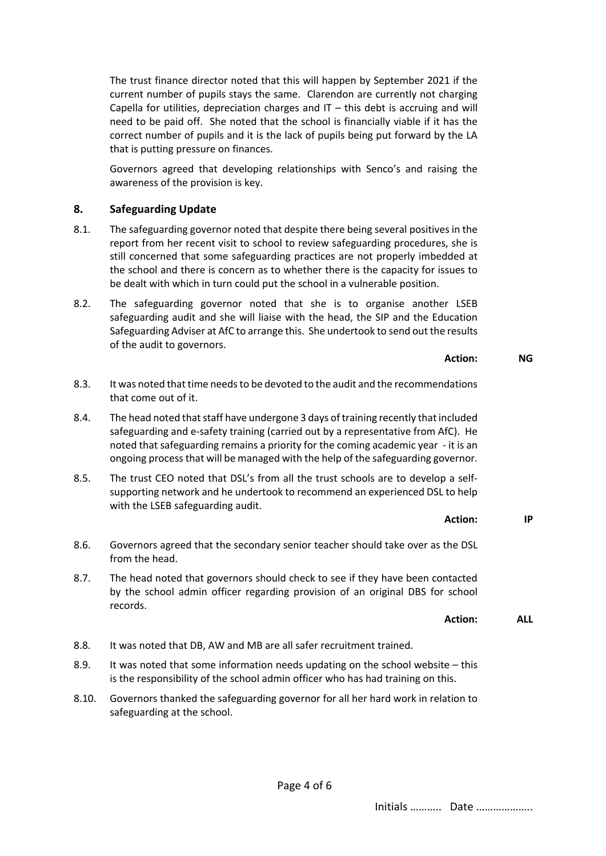The trust finance director noted that this will happen by September 2021 if the current number of pupils stays the same. Clarendon are currently not charging Capella for utilities, depreciation charges and  $IT -$  this debt is accruing and will need to be paid off. She noted that the school is financially viable if it has the correct number of pupils and it is the lack of pupils being put forward by the LA that is putting pressure on finances.

Governors agreed that developing relationships with Senco's and raising the awareness of the provision is key.

#### **8. Safeguarding Update**

- 8.1. The safeguarding governor noted that despite there being several positives in the report from her recent visit to school to review safeguarding procedures, she is still concerned that some safeguarding practices are not properly imbedded at the school and there is concern as to whether there is the capacity for issues to be dealt with which in turn could put the school in a vulnerable position.
- 8.2. The safeguarding governor noted that she is to organise another LSEB safeguarding audit and she will liaise with the head, the SIP and the Education Safeguarding Adviser at AfC to arrange this. She undertook to send out the results of the audit to governors.

**Action: NG**

- 8.3. It was noted that time needs to be devoted to the audit and the recommendations that come out of it.
- 8.4. The head noted that staff have undergone 3 days of training recently that included safeguarding and e-safety training (carried out by a representative from AfC). He noted that safeguarding remains a priority for the coming academic year - it is an ongoing process that will be managed with the help of the safeguarding governor.
- 8.5. The trust CEO noted that DSL's from all the trust schools are to develop a selfsupporting network and he undertook to recommend an experienced DSL to help with the LSEB safeguarding audit.

**Action: IP**

- 8.6. Governors agreed that the secondary senior teacher should take over as the DSL from the head.
- 8.7. The head noted that governors should check to see if they have been contacted by the school admin officer regarding provision of an original DBS for school records.

**Action: ALL**

- 8.8. It was noted that DB, AW and MB are all safer recruitment trained.
- 8.9. It was noted that some information needs updating on the school website this is the responsibility of the school admin officer who has had training on this.
- 8.10. Governors thanked the safeguarding governor for all her hard work in relation to safeguarding at the school.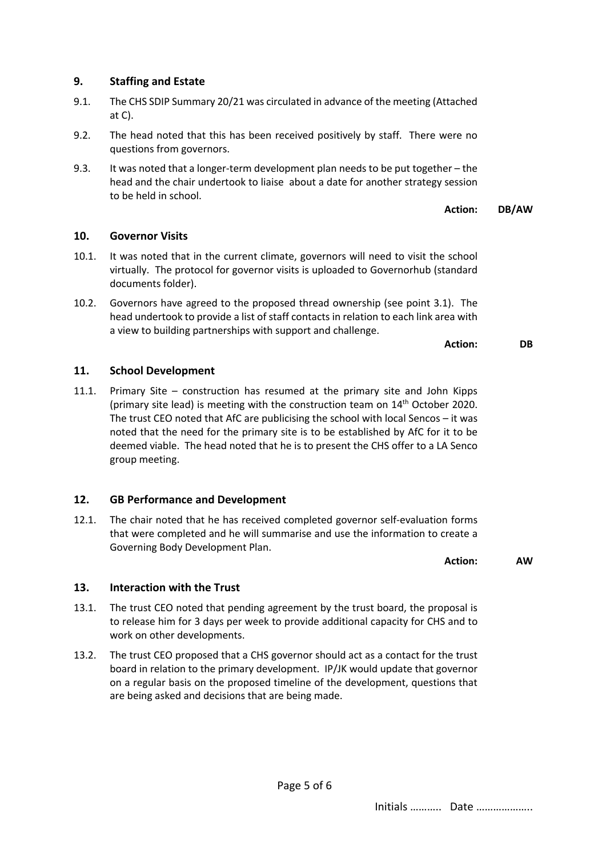# **9. Staffing and Estate**

- 9.1. The CHS SDIP Summary 20/21 was circulated in advance of the meeting (Attached at C).
- 9.2. The head noted that this has been received positively by staff. There were no questions from governors.
- 9.3. It was noted that a longer-term development plan needs to be put together the head and the chair undertook to liaise about a date for another strategy session to be held in school.

**Action: DB/AW**

### **10. Governor Visits**

- 10.1. It was noted that in the current climate, governors will need to visit the school virtually. The protocol for governor visits is uploaded to Governorhub (standard documents folder).
- 10.2. Governors have agreed to the proposed thread ownership (see point 3.1). The head undertook to provide a list of staff contacts in relation to each link area with a view to building partnerships with support and challenge.

**Action: DB**

### **11. School Development**

11.1. Primary Site – construction has resumed at the primary site and John Kipps (primary site lead) is meeting with the construction team on 14th October 2020. The trust CEO noted that AfC are publicising the school with local Sencos – it was noted that the need for the primary site is to be established by AfC for it to be deemed viable. The head noted that he is to present the CHS offer to a LA Senco group meeting.

### **12. GB Performance and Development**

12.1. The chair noted that he has received completed governor self-evaluation forms that were completed and he will summarise and use the information to create a Governing Body Development Plan.

**Action: AW**

### **13. Interaction with the Trust**

- 13.1. The trust CEO noted that pending agreement by the trust board, the proposal is to release him for 3 days per week to provide additional capacity for CHS and to work on other developments.
- 13.2. The trust CEO proposed that a CHS governor should act as a contact for the trust board in relation to the primary development. IP/JK would update that governor on a regular basis on the proposed timeline of the development, questions that are being asked and decisions that are being made.